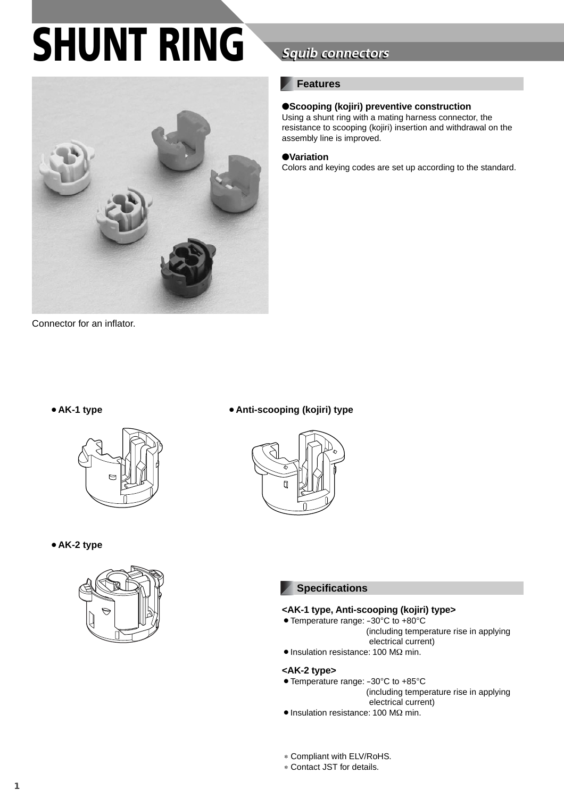# **SHUNT RING**



Connector for an inflator.

## **Squib connectors**

#### **Features**

#### ●**Scooping (kojiri) preventive construction**

Using a shunt ring with a mating harness connector, the resistance to scooping (kojiri) insertion and withdrawal on the assembly line is improved.

#### ●**Variation**

Colors and keying codes are set up according to the standard.



¡**AK-2 type**



#### ¡**AK-1 type** ¡**Anti-scooping (kojiri) type**



#### **Specifications**

#### **<AK-1 type, Anti-scooping (kojiri) type>**

- Temperature range: -30°C to +80°C
	- (including temperature rise in applying electrical current)
- Insulation resistance: 100 MΩ min.

#### **<AK-2 type>**

- Temperature range: -30°C to +85°C
	- (including temperature rise in applying electrical current)
- Insulation resistance: 100 MΩ min.
- ∗ Compliant with ELV/RoHS.
- ∗ Contact JST for details.